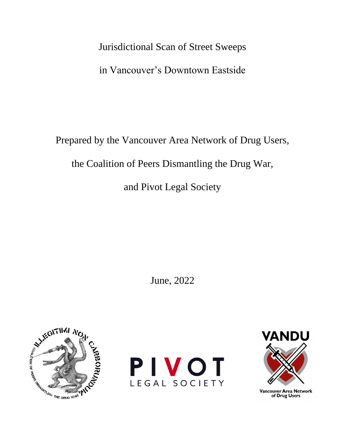## Jurisdictional Scan of Street Sweeps

in Vancouver's Downtown Eastside

Prepared by the Vancouver Area Network of Drug Users,

the Coalition of Peers Dismantling the Drug War,

and Pivot Legal Society

June, 2022







Vancouver Area Network<br>of Drug Users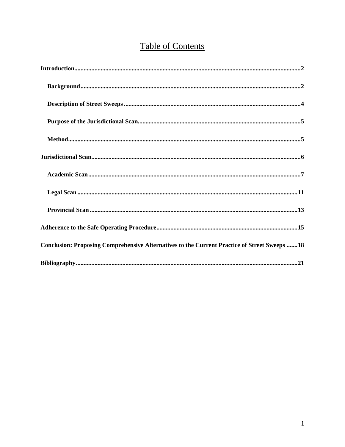# **Table of Contents**

| Conclusion: Proposing Comprehensive Alternatives to the Current Practice of Street Sweeps 18 |
|----------------------------------------------------------------------------------------------|
|                                                                                              |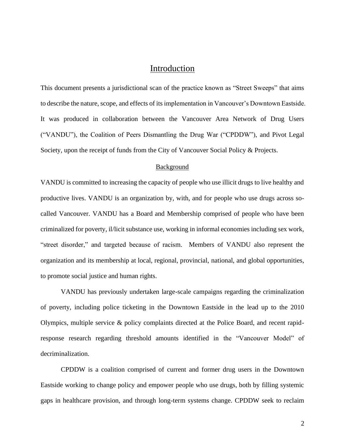## Introduction

<span id="page-2-0"></span>This document presents a jurisdictional scan of the practice known as "Street Sweeps" that aims to describe the nature, scope, and effects of its implementation in Vancouver's Downtown Eastside. It was produced in collaboration between the Vancouver Area Network of Drug Users ("VANDU"), the Coalition of Peers Dismantling the Drug War ("CPDDW"), and Pivot Legal Society, upon the receipt of funds from the City of Vancouver Social Policy & Projects.

#### Background

<span id="page-2-1"></span>VANDU is committed to increasing the capacity of people who use illicit drugs to live healthy and productive lives. VANDU is an organization by, with, and for people who use drugs across socalled Vancouver. VANDU has a Board and Membership comprised of people who have been criminalized for poverty, il/licit substance use, working in informal economies including sex work, "street disorder," and targeted because of racism. Members of VANDU also represent the organization and its membership at local, regional, provincial, national, and global opportunities, to promote social justice and human rights.

VANDU has previously undertaken large-scale campaigns regarding the criminalization of poverty, including police ticketing in the Downtown Eastside in the lead up to the 2010 Olympics, multiple service & policy complaints directed at the Police Board, and recent rapidresponse research regarding threshold amounts identified in the "Vancouver Model" of decriminalization.

CPDDW is a coalition comprised of current and former drug users in the Downtown Eastside working to change policy and empower people who use drugs, both by filling systemic gaps in healthcare provision, and through long-term systems change. CPDDW seek to reclaim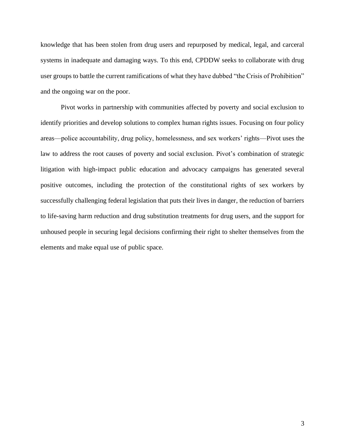knowledge that has been stolen from drug users and repurposed by medical, legal, and carceral systems in inadequate and damaging ways. To this end, CPDDW seeks to collaborate with drug user groups to battle the current ramifications of what they have dubbed "the Crisis of Prohibition" and the ongoing war on the poor.

<span id="page-3-0"></span>Pivot works in partnership with communities affected by poverty and social exclusion to identify priorities and develop solutions to complex human rights issues. Focusing on four policy areas—police accountability, drug policy, homelessness, and sex workers' rights—Pivot uses the law to address the root causes of poverty and social exclusion. Pivot's combination of strategic litigation with high-impact public education and advocacy campaigns has generated several positive outcomes, including the protection of the constitutional rights of sex workers by successfully challenging federal legislation that puts their lives in danger, the reduction of barriers to life-saving harm reduction and drug substitution treatments for drug users, and the support for unhoused people in securing legal decisions confirming their right to shelter themselves from the elements and make equal use of public space.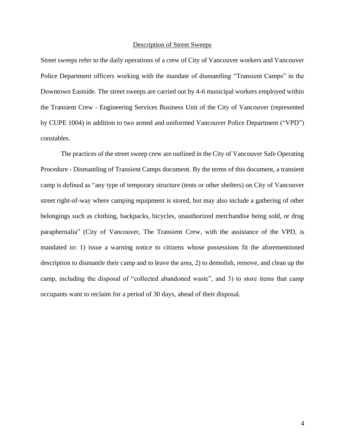#### Description of Street Sweeps

Street sweeps refer to the daily operations of a crew of City of Vancouver workers and Vancouver Police Department officers working with the mandate of dismantling "Transient Camps" in the Downtown Eastside. The street sweeps are carried out by 4-6 municipal workers employed within the Transient Crew - Engineering Services Business Unit of the City of Vancouver (represented by CUPE 1004) in addition to two armed and uniformed Vancouver Police Department ("VPD") constables.

<span id="page-4-0"></span>The practices of the street sweep crew are outlined in the City of Vancouver Safe Operating Procedure - Dismantling of Transient Camps document. By the terms of this document, a transient camp is defined as "any type of temporary structure (tents or other shelters) on City of Vancouver street right-of-way where camping equipment is stored, but may also include a gathering of other belongings such as clothing, backpacks, bicycles, unauthorized merchandise being sold, or drug paraphernalia" (City of Vancouver, The Transient Crew, with the assistance of the VPD, is mandated to: 1) issue a warning notice to citizens whose possessions fit the aforementioned description to dismantle their camp and to leave the area, 2) to demolish, remove, and clean up the camp, including the disposal of "collected abandoned waste", and 3) to store items that camp occupants want to reclaim for a period of 30 days, ahead of their disposal.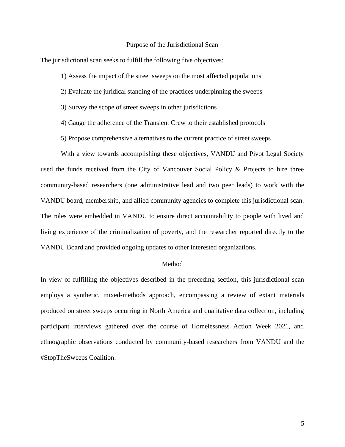#### Purpose of the Jurisdictional Scan

The jurisdictional scan seeks to fulfill the following five objectives:

1) Assess the impact of the street sweeps on the most affected populations

- 2) Evaluate the juridical standing of the practices underpinning the sweeps
- 3) Survey the scope of street sweeps in other jurisdictions
- 4) Gauge the adherence of the Transient Crew to their established protocols
- 5) Propose comprehensive alternatives to the current practice of street sweeps

With a view towards accomplishing these objectives, VANDU and Pivot Legal Society used the funds received from the City of Vancouver Social Policy & Projects to hire three community-based researchers (one administrative lead and two peer leads) to work with the VANDU board, membership, and allied community agencies to complete this jurisdictional scan. The roles were embedded in VANDU to ensure direct accountability to people with lived and living experience of the criminalization of poverty, and the researcher reported directly to the VANDU Board and provided ongoing updates to other interested organizations.

#### Method

<span id="page-5-0"></span>In view of fulfilling the objectives described in the preceding section, this jurisdictional scan employs a synthetic, mixed-methods approach, encompassing a review of extant materials produced on street sweeps occurring in North America and qualitative data collection, including participant interviews gathered over the course of Homelessness Action Week 2021, and ethnographic observations conducted by community-based researchers from VANDU and the #StopTheSweeps Coalition.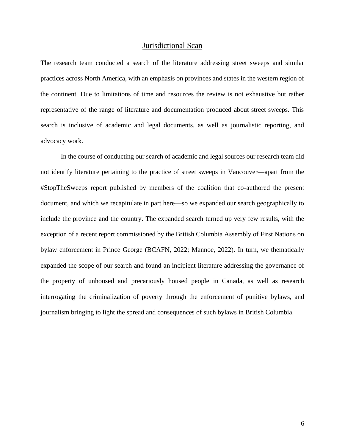#### Jurisdictional Scan

<span id="page-6-0"></span>The research team conducted a search of the literature addressing street sweeps and similar practices across North America, with an emphasis on provinces and states in the western region of the continent. Due to limitations of time and resources the review is not exhaustive but rather representative of the range of literature and documentation produced about street sweeps. This search is inclusive of academic and legal documents, as well as journalistic reporting, and advocacy work.

In the course of conducting our search of academic and legal sources our research team did not identify literature pertaining to the practice of street sweeps in Vancouver—apart from the #StopTheSweeps report published by members of the coalition that co-authored the present document, and which we recapitulate in part here—so we expanded our search geographically to include the province and the country. The expanded search turned up very few results, with the exception of a recent report commissioned by the British Columbia Assembly of First Nations on bylaw enforcement in Prince George (BCAFN, 2022; Mannoe, 2022). In turn, we thematically expanded the scope of our search and found an incipient literature addressing the governance of the property of unhoused and precariously housed people in Canada, as well as research interrogating the criminalization of poverty through the enforcement of punitive bylaws, and journalism bringing to light the spread and consequences of such bylaws in British Columbia.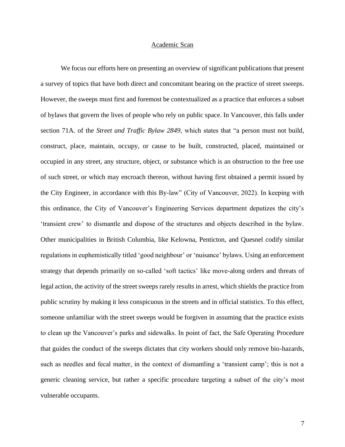#### Academic Scan

<span id="page-7-0"></span>We focus our efforts here on presenting an overview of significant publications that present a survey of topics that have both direct and concomitant bearing on the practice of street sweeps. However, the sweeps must first and foremost be contextualized as a practice that enforces a subset of bylaws that govern the lives of people who rely on public space. In Vancouver, this falls under section 71A. of the *Street and Traffic Bylaw 2849*, which states that "a person must not build, construct, place, maintain, occupy, or cause to be built, constructed, placed, maintained or occupied in any street, any structure, object, or substance which is an obstruction to the free use of such street, or which may encroach thereon, without having first obtained a permit issued by the City Engineer, in accordance with this By-law" (City of Vancouver, 2022). In keeping with this ordinance, the City of Vancouver's Engineering Services department deputizes the city's 'transient crew' to dismantle and dispose of the structures and objects described in the bylaw. Other municipalities in British Columbia, like Kelowna, Penticton, and Quesnel codify similar regulations in euphemistically titled 'good neighbour' or 'nuisance' bylaws. Using an enforcement strategy that depends primarily on so-called 'soft tactics' like move-along orders and threats of legal action, the activity of the street sweeps rarely results in arrest, which shields the practice from public scrutiny by making it less conspicuous in the streets and in official statistics. To this effect, someone unfamiliar with the street sweeps would be forgiven in assuming that the practice exists to clean up the Vancouver's parks and sidewalks. In point of fact, the Safe Operating Procedure that guides the conduct of the sweeps dictates that city workers should only remove bio-hazards, such as needles and fecal matter, in the context of dismantling a 'transient camp'; this is not a generic cleaning service, but rather a specific procedure targeting a subset of the city's most vulnerable occupants.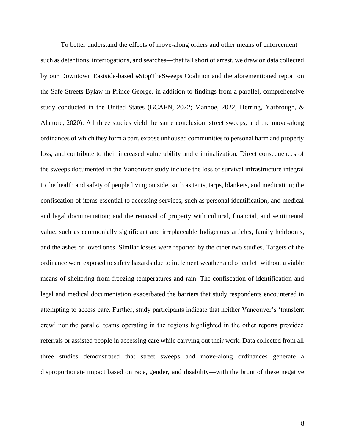To better understand the effects of move-along orders and other means of enforcement such as detentions, interrogations, and searches—that fall short of arrest, we draw on data collected by our Downtown Eastside-based #StopTheSweeps Coalition and the aforementioned report on the Safe Streets Bylaw in Prince George, in addition to findings from a parallel, comprehensive study conducted in the United States (BCAFN, 2022; Mannoe, 2022; Herring, Yarbrough, & Alattore, 2020). All three studies yield the same conclusion: street sweeps, and the move-along ordinances of which they form a part, expose unhoused communities to personal harm and property loss, and contribute to their increased vulnerability and criminalization. Direct consequences of the sweeps documented in the Vancouver study include the loss of survival infrastructure integral to the health and safety of people living outside, such as tents, tarps, blankets, and medication; the confiscation of items essential to accessing services, such as personal identification, and medical and legal documentation; and the removal of property with cultural, financial, and sentimental value, such as ceremonially significant and irreplaceable Indigenous articles, family heirlooms, and the ashes of loved ones. Similar losses were reported by the other two studies. Targets of the ordinance were exposed to safety hazards due to inclement weather and often left without a viable means of sheltering from freezing temperatures and rain. The confiscation of identification and legal and medical documentation exacerbated the barriers that study respondents encountered in attempting to access care. Further, study participants indicate that neither Vancouver's 'transient crew' nor the parallel teams operating in the regions highlighted in the other reports provided referrals or assisted people in accessing care while carrying out their work. Data collected from all three studies demonstrated that street sweeps and move-along ordinances generate a disproportionate impact based on race, gender, and disability—with the brunt of these negative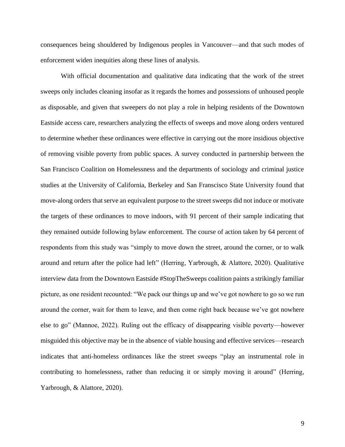consequences being shouldered by Indigenous peoples in Vancouver—and that such modes of enforcement widen inequities along these lines of analysis.

With official documentation and qualitative data indicating that the work of the street sweeps only includes cleaning insofar as it regards the homes and possessions of unhoused people as disposable, and given that sweepers do not play a role in helping residents of the Downtown Eastside access care, researchers analyzing the effects of sweeps and move along orders ventured to determine whether these ordinances were effective in carrying out the more insidious objective of removing visible poverty from public spaces. A survey conducted in partnership between the San Francisco Coalition on Homelessness and the departments of sociology and criminal justice studies at the University of California, Berkeley and San Franscisco State University found that move-along orders that serve an equivalent purpose to the street sweeps did not induce or motivate the targets of these ordinances to move indoors, with 91 percent of their sample indicating that they remained outside following bylaw enforcement. The course of action taken by 64 percent of respondents from this study was "simply to move down the street, around the corner, or to walk around and return after the police had left" (Herring, Yarbrough, & Alattore, 2020). Qualitative interview data from the Downtown Eastside #StopTheSweeps coalition paints a strikingly familiar picture, as one resident recounted: "We pack our things up and we've got nowhere to go so we run around the corner, wait for them to leave, and then come right back because we've got nowhere else to go" (Mannoe, 2022). Ruling out the efficacy of disappearing visible poverty—however misguided this objective may be in the absence of viable housing and effective services—research indicates that anti-homeless ordinances like the street sweeps "play an instrumental role in contributing to homelessness, rather than reducing it or simply moving it around" (Herring, Yarbrough, & Alattore, 2020).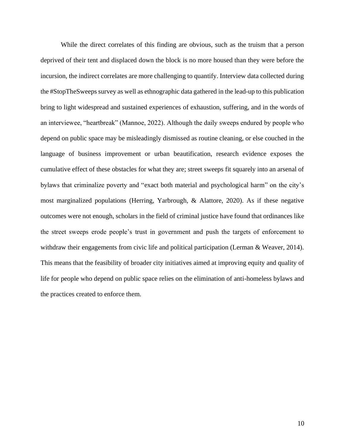While the direct correlates of this finding are obvious, such as the truism that a person deprived of their tent and displaced down the block is no more housed than they were before the incursion, the indirect correlates are more challenging to quantify. Interview data collected during the #StopTheSweeps survey as well as ethnographic data gathered in the lead-up to this publication bring to light widespread and sustained experiences of exhaustion, suffering, and in the words of an interviewee, "heartbreak" (Mannoe, 2022). Although the daily sweeps endured by people who depend on public space may be misleadingly dismissed as routine cleaning, or else couched in the language of business improvement or urban beautification, research evidence exposes the cumulative effect of these obstacles for what they are; street sweeps fit squarely into an arsenal of bylaws that criminalize poverty and "exact both material and psychological harm" on the city's most marginalized populations (Herring, Yarbrough, & Alattore, 2020). As if these negative outcomes were not enough, scholars in the field of criminal justice have found that ordinances like the street sweeps erode people's trust in government and push the targets of enforcement to withdraw their engagements from civic life and political participation (Lerman & Weaver, 2014). This means that the feasibility of broader city initiatives aimed at improving equity and quality of life for people who depend on public space relies on the elimination of anti-homeless bylaws and the practices created to enforce them.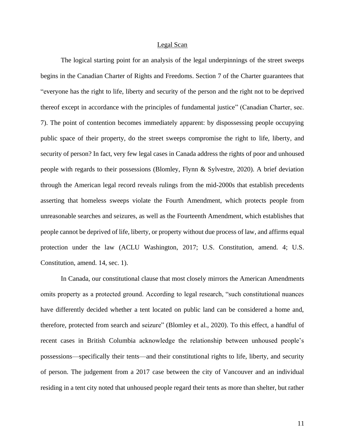#### Legal Scan

<span id="page-11-0"></span>The logical starting point for an analysis of the legal underpinnings of the street sweeps begins in the Canadian Charter of Rights and Freedoms. Section 7 of the Charter guarantees that "everyone has the right to life, liberty and security of the person and the right not to be deprived thereof except in accordance with the principles of fundamental justice" (Canadian Charter, sec. 7). The point of contention becomes immediately apparent: by dispossessing people occupying public space of their property, do the street sweeps compromise the right to life, liberty, and security of person? In fact, very few legal cases in Canada address the rights of poor and unhoused people with regards to their possessions (Blomley, Flynn & Sylvestre, 2020). A brief deviation through the American legal record reveals rulings from the mid-2000s that establish precedents asserting that homeless sweeps violate the Fourth Amendment, which protects people from unreasonable searches and seizures, as well as the Fourteenth Amendment, which establishes that people cannot be deprived of life, liberty, or property without due process of law, and affirms equal protection under the law (ACLU Washington, 2017; U.S. Constitution, amend. 4; U.S. Constitution, amend. 14, sec. 1).

In Canada, our constitutional clause that most closely mirrors the American Amendments omits property as a protected ground. According to legal research, "such constitutional nuances have differently decided whether a tent located on public land can be considered a home and, therefore, protected from search and seizure" (Blomley et al., 2020). To this effect, a handful of recent cases in British Columbia acknowledge the relationship between unhoused people's possessions—specifically their tents—and their constitutional rights to life, liberty, and security of person. The judgement from a 2017 case between the city of Vancouver and an individual residing in a tent city noted that unhoused people regard their tents as more than shelter, but rather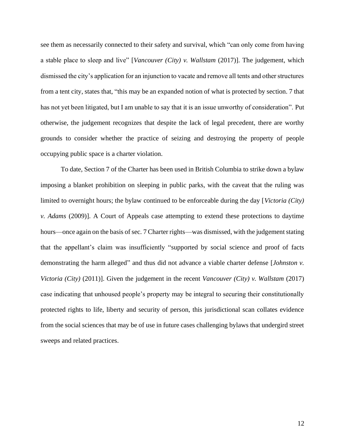see them as necessarily connected to their safety and survival, which "can only come from having a stable place to sleep and live" [*Vancouver (City) v. Wallstam* (2017)]. The judgement, which dismissed the city's application for an injunction to vacate and remove all tents and other structures from a tent city, states that, "this may be an expanded notion of what is protected by section. 7 that has not yet been litigated, but I am unable to say that it is an issue unworthy of consideration". Put otherwise, the judgement recognizes that despite the lack of legal precedent, there are worthy grounds to consider whether the practice of seizing and destroying the property of people occupying public space is a charter violation.

To date, Section 7 of the Charter has been used in British Columbia to strike down a bylaw imposing a blanket prohibition on sleeping in public parks, with the caveat that the ruling was limited to overnight hours; the bylaw continued to be enforceable during the day [*Victoria (City) v. Adams* (2009)]. A Court of Appeals case attempting to extend these protections to daytime hours—once again on the basis of sec. 7 Charter rights—was dismissed, with the judgement stating that the appellant's claim was insufficiently "supported by social science and proof of facts demonstrating the harm alleged" and thus did not advance a viable charter defense [*Johnston v. Victoria (City)* (2011)]. Given the judgement in the recent *Vancouver (City) v. Wallstam* (2017) case indicating that unhoused people's property may be integral to securing their constitutionally protected rights to life, liberty and security of person, this jurisdictional scan collates evidence from the social sciences that may be of use in future cases challenging bylaws that undergird street sweeps and related practices.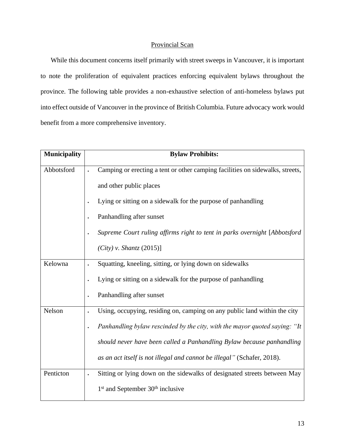## Provincial Scan

<span id="page-13-0"></span>While this document concerns itself primarily with street sweeps in Vancouver, it is important to note the proliferation of equivalent practices enforcing equivalent bylaws throughout the province. The following table provides a non-exhaustive selection of anti-homeless bylaws put into effect outside of Vancouver in the province of British Columbia. Future advocacy work would benefit from a more comprehensive inventory.

| <b>Municipality</b> | <b>Bylaw Prohibits:</b>                                                                                  |
|---------------------|----------------------------------------------------------------------------------------------------------|
| Abbotsford          | Camping or erecting a tent or other camping facilities on sidewalks, streets,<br>and other public places |
|                     | Lying or sitting on a sidewalk for the purpose of panhandling                                            |
|                     | Panhandling after sunset                                                                                 |
|                     | Supreme Court ruling affirms right to tent in parks overnight [Abbotsford                                |
|                     | $(City)$ v. Shantz (2015)]                                                                               |
| Kelowna             | Squatting, kneeling, sitting, or lying down on sidewalks                                                 |
|                     | Lying or sitting on a sidewalk for the purpose of panhandling                                            |
|                     | Panhandling after sunset                                                                                 |
| Nelson              | Using, occupying, residing on, camping on any public land within the city                                |
|                     | Panhandling bylaw rescinded by the city, with the mayor quoted saying: "It                               |
|                     | should never have been called a Panhandling Bylaw because panhandling                                    |
|                     | as an act itself is not illegal and cannot be illegal" (Schafer, 2018).                                  |
| Penticton           | Sitting or lying down on the sidewalks of designated streets between May                                 |
|                     | 1 <sup>st</sup> and September 30 <sup>th</sup> inclusive                                                 |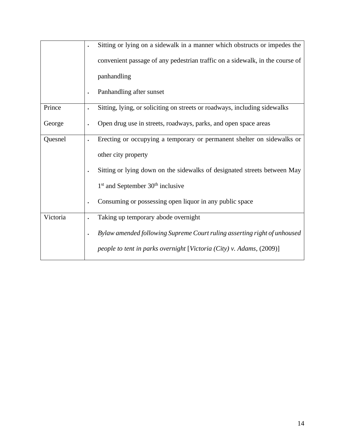|          | Sitting or lying on a sidewalk in a manner which obstructs or impedes the              |
|----------|----------------------------------------------------------------------------------------|
|          | convenient passage of any pedestrian traffic on a sidewalk, in the course of           |
|          | panhandling                                                                            |
|          | Panhandling after sunset                                                               |
| Prince   | Sitting, lying, or soliciting on streets or roadways, including sidewalks<br>$\bullet$ |
| George   | Open drug use in streets, roadways, parks, and open space areas                        |
| Quesnel  | Erecting or occupying a temporary or permanent shelter on sidewalks or<br>$\bullet$    |
|          | other city property                                                                    |
|          | Sitting or lying down on the sidewalks of designated streets between May               |
|          | $1st$ and September 30 <sup>th</sup> inclusive                                         |
|          | Consuming or possessing open liquor in any public space<br>$\bullet$                   |
| Victoria | Taking up temporary abode overnight                                                    |
|          | Bylaw amended following Supreme Court ruling asserting right of unhoused<br>$\bullet$  |
|          | people to tent in parks overnight [Victoria (City) v. Adams, (2009)]                   |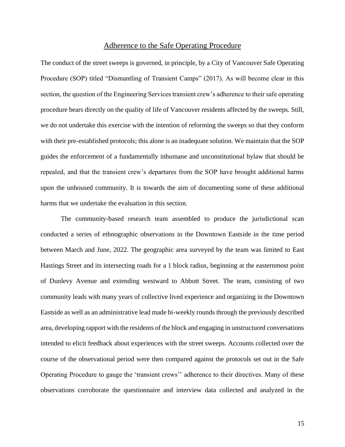### Adherence to the Safe Operating Procedure

<span id="page-15-0"></span>The conduct of the street sweeps is governed, in principle, by a City of Vancouver Safe Operating Procedure (SOP) titled "Dismantling of Transient Camps" (2017). As will become clear in this section, the question of the Engineering Services transient crew's adherence to their safe operating procedure bears directly on the quality of life of Vancouver residents affected by the sweeps. Still, we do not undertake this exercise with the intention of reforming the sweeps so that they conform with their pre-established protocols; this alone is an inadequate solution. We maintain that the SOP guides the enforcement of a fundamentally inhumane and unconstitutional bylaw that should be repealed, and that the transient crew's departures from the SOP have brought additional harms upon the unhoused community. It is towards the aim of documenting some of these additional harms that we undertake the evaluation in this section.

The community-based research team assembled to produce the jurisdictional scan conducted a series of ethnographic observations in the Downtown Eastside in the time period between March and June, 2022. The geographic area surveyed by the team was limited to East Hastings Street and its intersecting roads for a 1 block radius, beginning at the easternmost point of Dunlevy Avenue and extending westward to Abbott Street. The team, consisting of two community leads with many years of collective lived experience and organizing in the Downtown Eastside as well as an administrative lead made bi-weekly rounds through the previously described area, developing rapport with the residents of the block and engaging in unstructured conversations intended to elicit feedback about experiences with the street sweeps. Accounts collected over the course of the observational period were then compared against the protocols set out in the Safe Operating Procedure to gauge the 'transient crews'' adherence to their directives. Many of these observations corroborate the questionnaire and interview data collected and analyzed in the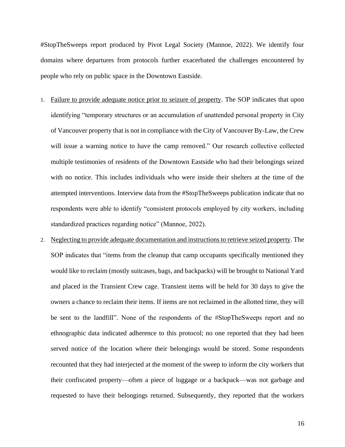#StopTheSweeps report produced by Pivot Legal Society (Mannoe, 2022). We identify four domains where departures from protocols further exacerbated the challenges encountered by people who rely on public space in the Downtown Eastside.

- 1. Failure to provide adequate notice prior to seizure of property. The SOP indicates that upon identifying "temporary structures or an accumulation of unattended personal property in City of Vancouver property that is not in compliance with the City of Vancouver By-Law, the Crew will issue a warning notice to have the camp removed." Our research collective collected multiple testimonies of residents of the Downtown Eastside who had their belongings seized with no notice. This includes individuals who were inside their shelters at the time of the attempted interventions. Interview data from the #StopTheSweeps publication indicate that no respondents were able to identify "consistent protocols employed by city workers, including standardized practices regarding notice" (Mannoe, 2022).
- 2. Neglecting to provide adequate documentation and instructions to retrieve seized property. The SOP indicates that "items from the cleanup that camp occupants specifically mentioned they would like to reclaim (mostly suitcases, bags, and backpacks) will be brought to National Yard and placed in the Transient Crew cage. Transient items will be held for 30 days to give the owners a chance to reclaim their items. If items are not reclaimed in the allotted time, they will be sent to the landfill". None of the respondents of the #StopTheSweeps report and no ethnographic data indicated adherence to this protocol; no one reported that they had been served notice of the location where their belongings would be stored. Some respondents recounted that they had interjected at the moment of the sweep to inform the city workers that their confiscated property—often a piece of luggage or a backpack—was not garbage and requested to have their belongings returned. Subsequently, they reported that the workers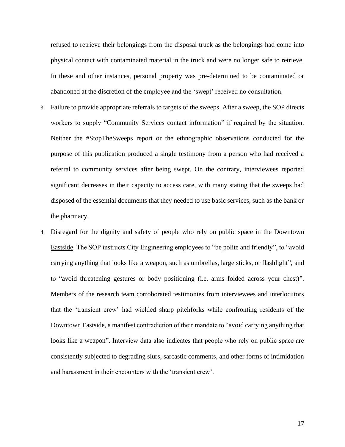refused to retrieve their belongings from the disposal truck as the belongings had come into physical contact with contaminated material in the truck and were no longer safe to retrieve. In these and other instances, personal property was pre-determined to be contaminated or abandoned at the discretion of the employee and the 'swept' received no consultation.

- 3. Failure to provide appropriate referrals to targets of the sweeps. After a sweep, the SOP directs workers to supply "Community Services contact information" if required by the situation. Neither the #StopTheSweeps report or the ethnographic observations conducted for the purpose of this publication produced a single testimony from a person who had received a referral to community services after being swept. On the contrary, interviewees reported significant decreases in their capacity to access care, with many stating that the sweeps had disposed of the essential documents that they needed to use basic services, such as the bank or the pharmacy.
- 4. Disregard for the dignity and safety of people who rely on public space in the Downtown Eastside. The SOP instructs City Engineering employees to "be polite and friendly", to "avoid carrying anything that looks like a weapon, such as umbrellas, large sticks, or flashlight", and to "avoid threatening gestures or body positioning (i.e. arms folded across your chest)". Members of the research team corroborated testimonies from interviewees and interlocutors that the 'transient crew' had wielded sharp pitchforks while confronting residents of the Downtown Eastside, a manifest contradiction of their mandate to "avoid carrying anything that looks like a weapon". Interview data also indicates that people who rely on public space are consistently subjected to degrading slurs, sarcastic comments, and other forms of intimidation and harassment in their encounters with the 'transient crew'.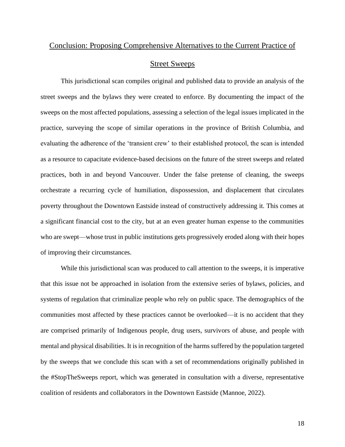## <span id="page-18-0"></span>Conclusion: Proposing Comprehensive Alternatives to the Current Practice of

## Street Sweeps

This jurisdictional scan compiles original and published data to provide an analysis of the street sweeps and the bylaws they were created to enforce. By documenting the impact of the sweeps on the most affected populations, assessing a selection of the legal issues implicated in the practice, surveying the scope of similar operations in the province of British Columbia, and evaluating the adherence of the 'transient crew' to their established protocol, the scan is intended as a resource to capacitate evidence-based decisions on the future of the street sweeps and related practices, both in and beyond Vancouver. Under the false pretense of cleaning, the sweeps orchestrate a recurring cycle of humiliation, dispossession, and displacement that circulates poverty throughout the Downtown Eastside instead of constructively addressing it. This comes at a significant financial cost to the city, but at an even greater human expense to the communities who are swept—whose trust in public institutions gets progressively eroded along with their hopes of improving their circumstances.

While this jurisdictional scan was produced to call attention to the sweeps, it is imperative that this issue not be approached in isolation from the extensive series of bylaws, policies, and systems of regulation that criminalize people who rely on public space. The demographics of the communities most affected by these practices cannot be overlooked—it is no accident that they are comprised primarily of Indigenous people, drug users, survivors of abuse, and people with mental and physical disabilities. It is in recognition of the harms suffered by the population targeted by the sweeps that we conclude this scan with a set of recommendations originally published in the #StopTheSweeps report, which was generated in consultation with a diverse, representative coalition of residents and collaborators in the Downtown Eastside (Mannoe, 2022).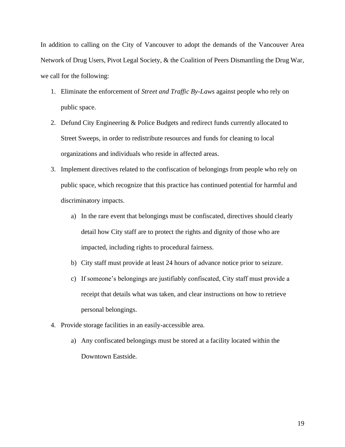In addition to calling on the City of Vancouver to adopt the demands of the Vancouver Area Network of Drug Users, Pivot Legal Society, & the Coalition of Peers Dismantling the Drug War, we call for the following:

- 1. Eliminate the enforcement of *Street and Traffic By-Laws* against people who rely on public space.
- 2. Defund City Engineering & Police Budgets and redirect funds currently allocated to Street Sweeps, in order to redistribute resources and funds for cleaning to local organizations and individuals who reside in affected areas.
- 3. Implement directives related to the confiscation of belongings from people who rely on public space, which recognize that this practice has continued potential for harmful and discriminatory impacts.
	- a) In the rare event that belongings must be confiscated, directives should clearly detail how City staff are to protect the rights and dignity of those who are impacted, including rights to procedural fairness.
	- b) City staff must provide at least 24 hours of advance notice prior to seizure.
	- c) If someone's belongings are justifiably confiscated, City staff must provide a receipt that details what was taken, and clear instructions on how to retrieve personal belongings.
- 4. Provide storage facilities in an easily-accessible area.
	- a) Any confiscated belongings must be stored at a facility located within the Downtown Eastside.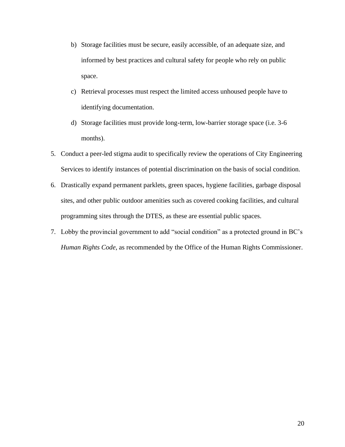- b) Storage facilities must be secure, easily accessible, of an adequate size, and informed by best practices and cultural safety for people who rely on public space.
- c) Retrieval processes must respect the limited access unhoused people have to identifying documentation.
- d) Storage facilities must provide long-term, low-barrier storage space (i.e. 3-6 months).
- 5. Conduct a peer-led stigma audit to specifically review the operations of City Engineering Services to identify instances of potential discrimination on the basis of social condition.
- 6. Drastically expand permanent parklets, green spaces, hygiene facilities, garbage disposal sites, and other public outdoor amenities such as covered cooking facilities, and cultural programming sites through the DTES, as these are essential public spaces.
- <span id="page-20-0"></span>7. Lobby the provincial government to add "social condition" as a protected ground in BC's *Human Rights Code*, as recommended by the Office of the Human Rights Commissioner.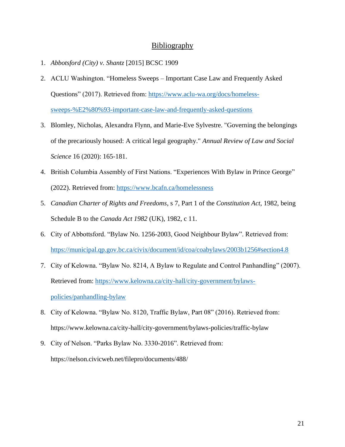### **Bibliography**

- 1. *Abbotsford (City) v. Shantz* [2015] BCSC 1909
- 2. ACLU Washington. "Homeless Sweeps Important Case Law and Frequently Asked Questions" (2017). Retrieved from: [https://www.aclu-wa.org/docs/homeless](https://www.aclu-wa.org/docs/homeless-sweeps-%E2%80%93-important-case-law-and-frequently-asked-questions)[sweeps-%E2%80%93-important-case-law-and-frequently-asked-questions](https://www.aclu-wa.org/docs/homeless-sweeps-%E2%80%93-important-case-law-and-frequently-asked-questions)
- 3. Blomley, Nicholas, Alexandra Flynn, and Marie-Eve Sylvestre. "Governing the belongings of the precariously housed: A critical legal geography." *Annual Review of Law and Social Science* 16 (2020): 165-181.
- 4. British Columbia Assembly of First Nations. "Experiences With Bylaw in Prince George" (2022). Retrieved from:<https://www.bcafn.ca/homelessness>
- 5. *Canadian Charter of Rights and Freedoms*, s 7, Part 1 of the *Constitution Act*, 1982, being Schedule B to the *Canada Act 1982* (UK), 1982, c 11.
- 6. City of Abbottsford. "Bylaw No. 1256-2003, Good Neighbour Bylaw". Retrieved from: <https://municipal.qp.gov.bc.ca/civix/document/id/coa/coabylaws/2003b1256#section4.8>
- 7. City of Kelowna. "Bylaw No. 8214, A Bylaw to Regulate and Control Panhandling" (2007). Retrieved from: [https://www.kelowna.ca/city-hall/city-government/bylaws](https://www.kelowna.ca/city-hall/city-government/bylaws-policies/panhandling-bylaw)[policies/panhandling-bylaw](https://www.kelowna.ca/city-hall/city-government/bylaws-policies/panhandling-bylaw)
- 8. City of Kelowna. "Bylaw No. 8120, Traffic Bylaw, Part 08" (2016). Retrieved from: https://www.kelowna.ca/city-hall/city-government/bylaws-policies/traffic-bylaw
- 9. City of Nelson. "Parks Bylaw No. 3330-2016". Retrieved from: https://nelson.civicweb.net/filepro/documents/488/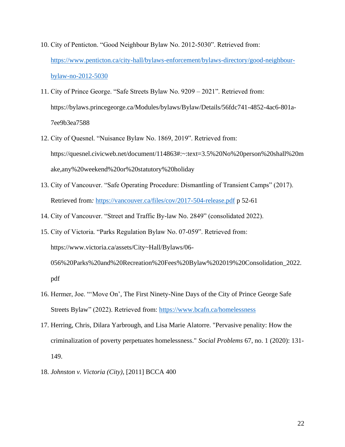- 10. City of Penticton. "Good Neighbour Bylaw No. 2012-5030". Retrieved from: [https://www.penticton.ca/city-hall/bylaws-enforcement/bylaws-directory/good-neighbour](https://www.penticton.ca/city-hall/bylaws-enforcement/bylaws-directory/good-neighbour-bylaw-no-2012-5030)[bylaw-no-2012-5030](https://www.penticton.ca/city-hall/bylaws-enforcement/bylaws-directory/good-neighbour-bylaw-no-2012-5030)
- 11. City of Prince George. "Safe Streets Bylaw No. 9209 2021". Retrieved from: https://bylaws.princegeorge.ca/Modules/bylaws/Bylaw/Details/56fdc741-4852-4ac6-801a-7ee9b3ea7588
- 12. City of Quesnel. "Nuisance Bylaw No. 1869, 2019". Retrieved from: https://quesnel.civicweb.net/document/114863#:~:text=3.5%20No%20person%20shall%20m ake,any%20weekend%20or%20statutory%20holiday
- 13. City of Vancouver. "Safe Operating Procedure: Dismantling of Transient Camps" (2017). Retrieved from*:* <https://vancouver.ca/files/cov/2017-504-release.pdf> p 52-61
- 14. City of Vancouver. "Street and Traffic By-law No. 2849" (consolidated 2022).
- 15. City of Victoria. "Parks Regulation Bylaw No. 07-059". Retrieved from: https://www.victoria.ca/assets/City~Hall/Bylaws/06- 056%20Parks%20and%20Recreation%20Fees%20Bylaw%202019%20Consolidation\_2022. pdf
- 16. Hermer, Joe. "'Move On', The First Ninety-Nine Days of the City of Prince George Safe Streets Bylaw" (2022). Retrieved from:<https://www.bcafn.ca/homelessness>
- 17. Herring, Chris, Dilara Yarbrough, and Lisa Marie Alatorre. "Pervasive penality: How the criminalization of poverty perpetuates homelessness." *Social Problems* 67, no. 1 (2020): 131- 149.
- 18. *Johnston v. Victoria (City)*, [2011] BCCA 400